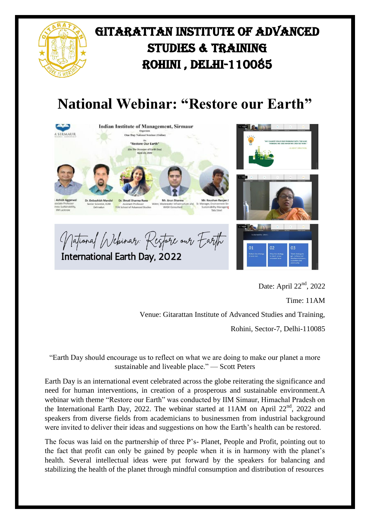

## **National Webinar: "Restore our Earth"**



Date: April 22<sup>nd</sup>, 2022

Time: 11AM

Venue: Gitarattan Institute of Advanced Studies and Training,

Rohini, Sector-7, Delhi-110085

"Earth Day should encourage us to reflect on what we are doing to make our planet a more sustainable and liveable place." — Scott Peters

Earth Day is an international event celebrated across the globe reiterating the significance and need for human interventions, in creation of a prosperous and sustainable environment.A webinar with theme "Restore our Earth" was conducted by IIM Simaur, Himachal Pradesh on the International Earth Day, 2022. The webinar started at 11AM on April 22<sup>nd</sup>, 2022 and speakers from diverse fields from academicians to businessmen from industrial background were invited to deliver their ideas and suggestions on how the Earth's health can be restored.

The focus was laid on the partnership of three P's- Planet, People and Profit, pointing out to the fact that profit can only be gained by people when it is in harmony with the planet's health. Several intellectual ideas were put forward by the speakers for balancing and stabilizing the health of the planet through mindful consumption and distribution of resources